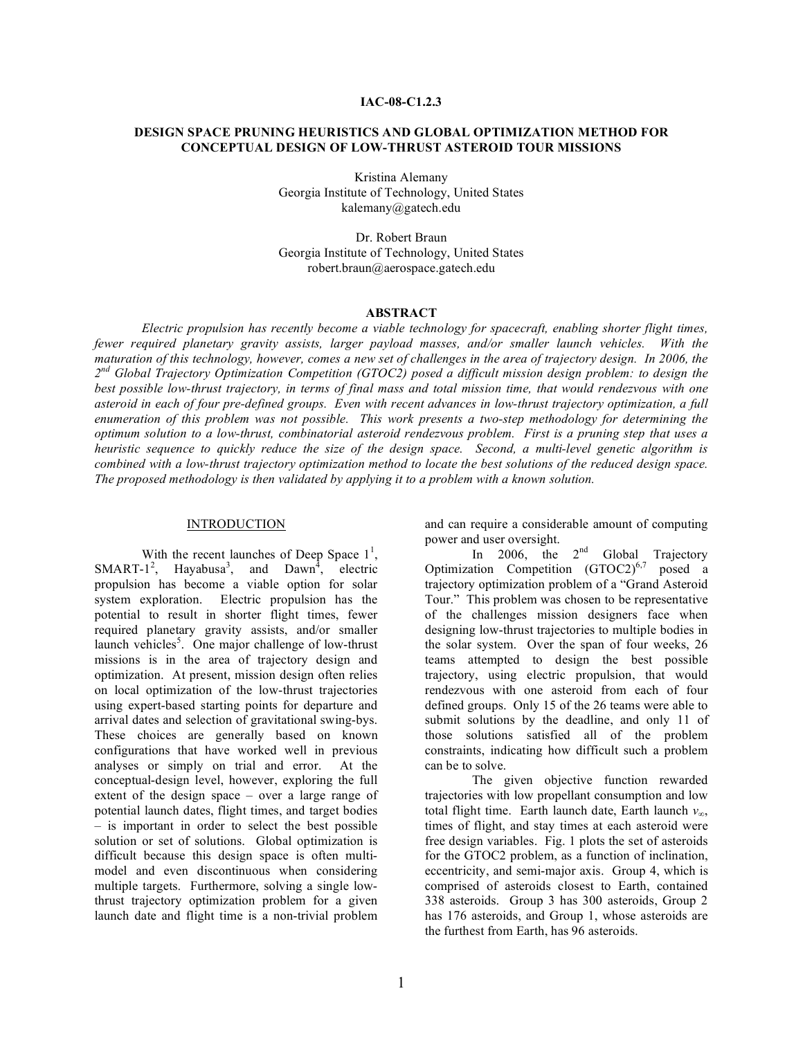### **IAC-08-C1.2.3**

## **DESIGN SPACE PRUNING HEURISTICS AND GLOBAL OPTIMIZATION METHOD FOR CONCEPTUAL DESIGN OF LOW-THRUST ASTEROID TOUR MISSIONS**

Kristina Alemany Georgia Institute of Technology, United States kalemany@gatech.edu

Dr. Robert Braun Georgia Institute of Technology, United States robert.braun@aerospace.gatech.edu

### **ABSTRACT**

*Electric propulsion has recently become a viable technology for spacecraft, enabling shorter flight times, fewer required planetary gravity assists, larger payload masses, and/or smaller launch vehicles. With the maturation of this technology, however, comes a new set of challenges in the area of trajectory design. In 2006, the 2nd Global Trajectory Optimization Competition (GTOC2) posed a difficult mission design problem: to design the best possible low-thrust trajectory, in terms of final mass and total mission time, that would rendezvous with one asteroid in each of four pre-defined groups. Even with recent advances in low-thrust trajectory optimization, a full enumeration of this problem was not possible. This work presents a two-step methodology for determining the optimum solution to a low-thrust, combinatorial asteroid rendezvous problem. First is a pruning step that uses a heuristic sequence to quickly reduce the size of the design space. Second, a multi-level genetic algorithm is combined with a low-thrust trajectory optimization method to locate the best solutions of the reduced design space. The proposed methodology is then validated by applying it to a problem with a known solution.*

### **INTRODUCTION**

With the recent launches of Deep Space  $1^1$ , SMART-1<sup>2</sup>, Hayabusa<sup>3</sup>, and Dawn<sup>4</sup>, electric propulsion has become a viable option for solar system exploration. Electric propulsion has the potential to result in shorter flight times, fewer required planetary gravity assists, and/or smaller launch vehicles<sup>5</sup>. One major challenge of low-thrust missions is in the area of trajectory design and optimization. At present, mission design often relies on local optimization of the low-thrust trajectories using expert-based starting points for departure and arrival dates and selection of gravitational swing-bys. These choices are generally based on known configurations that have worked well in previous analyses or simply on trial and error. At the conceptual-design level, however, exploring the full extent of the design space – over a large range of potential launch dates, flight times, and target bodies – is important in order to select the best possible solution or set of solutions. Global optimization is difficult because this design space is often multimodel and even discontinuous when considering multiple targets. Furthermore, solving a single lowthrust trajectory optimization problem for a given launch date and flight time is a non-trivial problem

and can require a considerable amount of computing power and user oversight.

In 2006, the 2<sup>nd</sup> Global Trajectory Optimization Competition  $(GTOC2)^{6,7}$  posed a trajectory optimization problem of a "Grand Asteroid Tour." This problem was chosen to be representative of the challenges mission designers face when designing low-thrust trajectories to multiple bodies in the solar system. Over the span of four weeks, 26 teams attempted to design the best possible trajectory, using electric propulsion, that would rendezvous with one asteroid from each of four defined groups. Only 15 of the 26 teams were able to submit solutions by the deadline, and only 11 of those solutions satisfied all of the problem constraints, indicating how difficult such a problem can be to solve.

The given objective function rewarded trajectories with low propellant consumption and low total flight time. Earth launch date, Earth launch *v*∞, times of flight, and stay times at each asteroid were free design variables. Fig. 1 plots the set of asteroids for the GTOC2 problem, as a function of inclination, eccentricity, and semi-major axis. Group 4, which is comprised of asteroids closest to Earth, contained 338 asteroids. Group 3 has 300 asteroids, Group 2 has 176 asteroids, and Group 1, whose asteroids are the furthest from Earth, has 96 asteroids.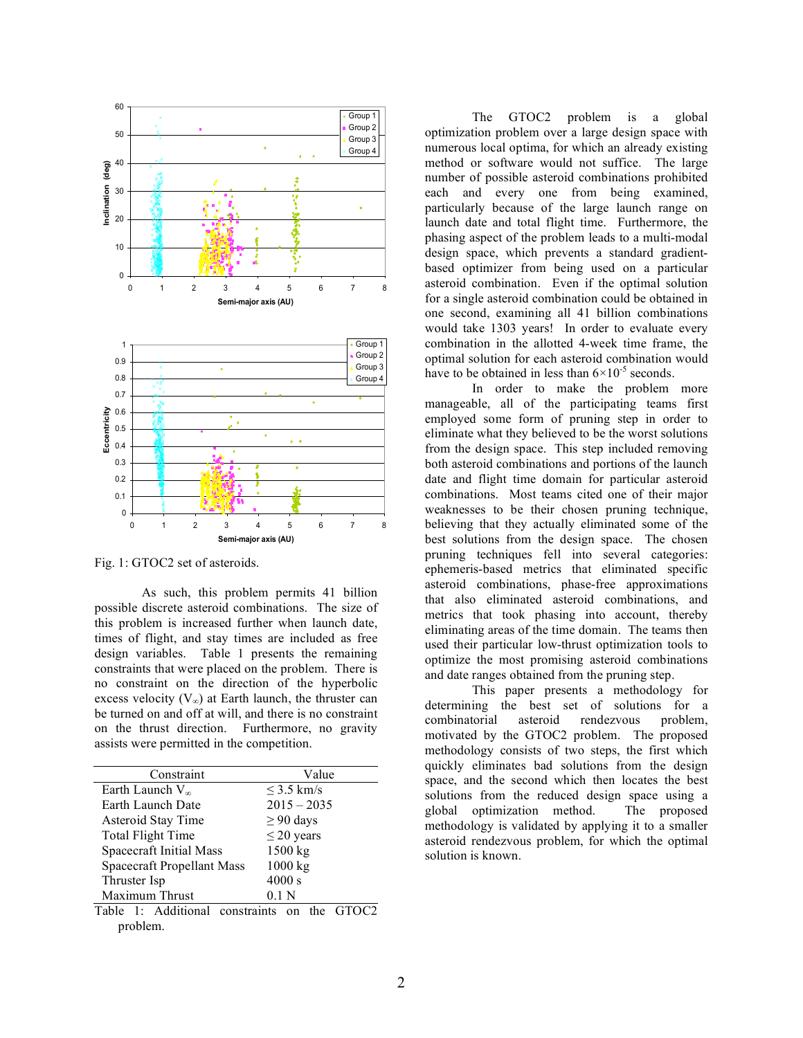

Fig. 1: GTOC2 set of asteroids.

As such, this problem permits 41 billion possible discrete asteroid combinations. The size of this problem is increased further when launch date, times of flight, and stay times are included as free design variables. Table 1 presents the remaining constraints that were placed on the problem. There is no constraint on the direction of the hyperbolic excess velocity ( $V_{\infty}$ ) at Earth launch, the thruster can be turned on and off at will, and there is no constraint on the thrust direction. Furthermore, no gravity assists were permitted in the competition.

| Constraint                 | Value            |
|----------------------------|------------------|
| Earth Launch $V_{\infty}$  | $\leq$ 3.5 km/s  |
| Earth Launch Date          | $2015 - 2035$    |
| Asteroid Stay Time         | $\geq$ 90 days   |
| <b>Total Flight Time</b>   | $\leq$ 20 years  |
| Spacecraft Initial Mass    | 1500 kg          |
| Spacecraft Propellant Mass | 1000 kg          |
| Thruster Isp               | 4000 s           |
| Maximum Thrust             | $0.1\mathrm{~N}$ |

Table 1: Additional constraints on the GTOC2 problem.

The GTOC2 problem is a global optimization problem over a large design space with numerous local optima, for which an already existing method or software would not suffice. The large number of possible asteroid combinations prohibited each and every one from being examined, particularly because of the large launch range on launch date and total flight time. Furthermore, the phasing aspect of the problem leads to a multi-modal design space, which prevents a standard gradientbased optimizer from being used on a particular asteroid combination. Even if the optimal solution for a single asteroid combination could be obtained in one second, examining all 41 billion combinations would take 1303 years! In order to evaluate every combination in the allotted 4-week time frame, the optimal solution for each asteroid combination would have to be obtained in less than  $6 \times 10^{-5}$  seconds.

In order to make the problem more manageable, all of the participating teams first employed some form of pruning step in order to eliminate what they believed to be the worst solutions from the design space. This step included removing both asteroid combinations and portions of the launch date and flight time domain for particular asteroid combinations. Most teams cited one of their major weaknesses to be their chosen pruning technique, believing that they actually eliminated some of the best solutions from the design space. The chosen pruning techniques fell into several categories: ephemeris-based metrics that eliminated specific asteroid combinations, phase-free approximations that also eliminated asteroid combinations, and metrics that took phasing into account, thereby eliminating areas of the time domain. The teams then used their particular low-thrust optimization tools to optimize the most promising asteroid combinations and date ranges obtained from the pruning step.

This paper presents a methodology for determining the best set of solutions for a combinatorial asteroid rendezvous problem, motivated by the GTOC2 problem. The proposed methodology consists of two steps, the first which quickly eliminates bad solutions from the design space, and the second which then locates the best solutions from the reduced design space using a global optimization method. The proposed methodology is validated by applying it to a smaller asteroid rendezvous problem, for which the optimal solution is known.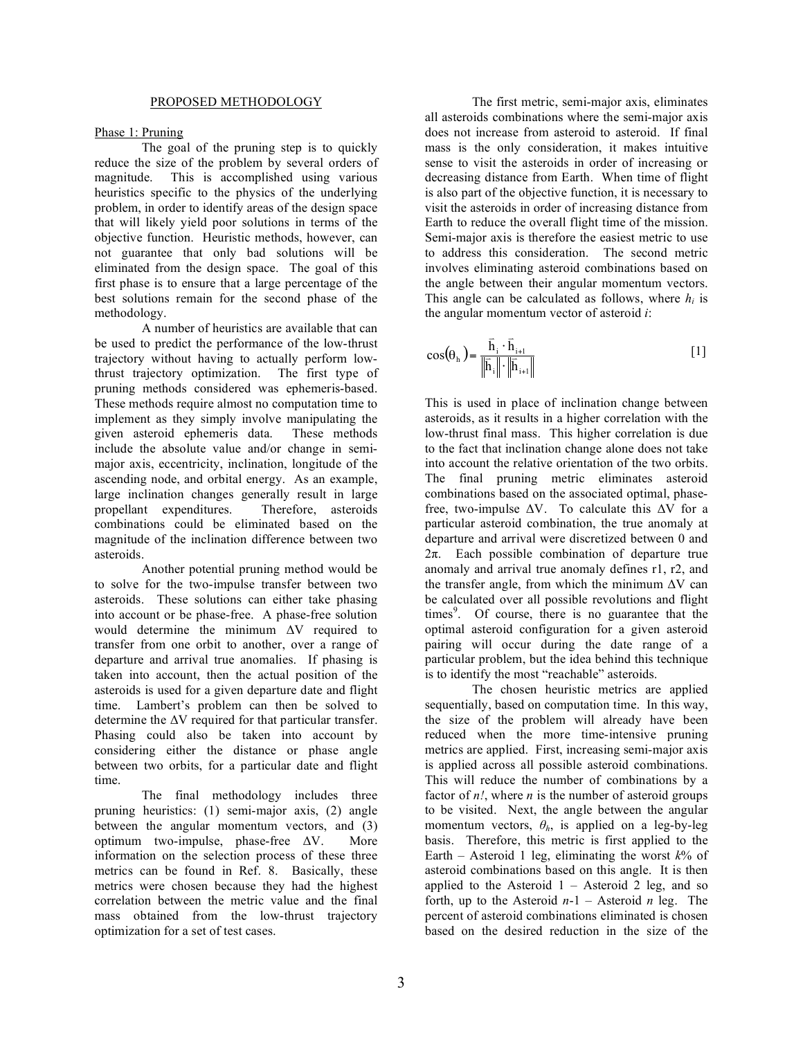### PROPOSED METHODOLOGY

#### Phase 1: Pruning

The goal of the pruning step is to quickly reduce the size of the problem by several orders of magnitude. This is accomplished using various heuristics specific to the physics of the underlying problem, in order to identify areas of the design space that will likely yield poor solutions in terms of the objective function. Heuristic methods, however, can not guarantee that only bad solutions will be eliminated from the design space. The goal of this first phase is to ensure that a large percentage of the best solutions remain for the second phase of the methodology.

A number of heuristics are available that can be used to predict the performance of the low-thrust trajectory without having to actually perform lowthrust trajectory optimization. The first type of pruning methods considered was ephemeris-based. These methods require almost no computation time to implement as they simply involve manipulating the given asteroid ephemeris data. These methods include the absolute value and/or change in semimajor axis, eccentricity, inclination, longitude of the ascending node, and orbital energy. As an example, large inclination changes generally result in large propellant expenditures. Therefore, asteroids combinations could be eliminated based on the magnitude of the inclination difference between two asteroids.

Another potential pruning method would be to solve for the two-impulse transfer between two asteroids. These solutions can either take phasing into account or be phase-free. A phase-free solution would determine the minimum ΔV required to transfer from one orbit to another, over a range of departure and arrival true anomalies. If phasing is taken into account, then the actual position of the asteroids is used for a given departure date and flight time. Lambert's problem can then be solved to determine the ΔV required for that particular transfer. Phasing could also be taken into account by considering either the distance or phase angle between two orbits, for a particular date and flight time.

The final methodology includes three pruning heuristics: (1) semi-major axis, (2) angle between the angular momentum vectors, and (3) optimum two-impulse, phase-free ΔV. More information on the selection process of these three metrics can be found in Ref. 8. Basically, these metrics were chosen because they had the highest correlation between the metric value and the final mass obtained from the low-thrust trajectory optimization for a set of test cases.

The first metric, semi-major axis, eliminates all asteroids combinations where the semi-major axis does not increase from asteroid to asteroid. If final mass is the only consideration, it makes intuitive sense to visit the asteroids in order of increasing or decreasing distance from Earth. When time of flight is also part of the objective function, it is necessary to visit the asteroids in order of increasing distance from Earth to reduce the overall flight time of the mission. Semi-major axis is therefore the easiest metric to use to address this consideration. The second metric involves eliminating asteroid combinations based on the angle between their angular momentum vectors. This angle can be calculated as follows, where  $h_i$  is the angular momentum vector of asteroid *i*:

$$
\cos(\theta_h) = \frac{\bar{h}_i \cdot \bar{h}_{i+1}}{\left\| \bar{h}_i \right\| \cdot \left\| \bar{h}_{i+1} \right\|}
$$
 [1]

This is used in place of inclination change between asteroids, as it results in a higher correlation with the low-thrust final mass. This higher correlation is due to the fact that inclination change alone does not take into account the relative orientation of the two orbits. The final pruning metric eliminates asteroid combinations based on the associated optimal, phasefree, two-impulse  $\Delta V$ . To calculate this  $\Delta V$  for a particular asteroid combination, the true anomaly at departure and arrival were discretized between 0 and  $2\pi$ . Each possible combination of departure true anomaly and arrival true anomaly defines r1, r2, and the transfer angle, from which the minimum  $\Delta V$  can be calculated over all possible revolutions and flight times<sup>9</sup>. Of course, there is no guarantee that the optimal asteroid configuration for a given asteroid pairing will occur during the date range of a particular problem, but the idea behind this technique is to identify the most "reachable" asteroids.

The chosen heuristic metrics are applied sequentially, based on computation time. In this way, the size of the problem will already have been reduced when the more time-intensive pruning metrics are applied. First, increasing semi-major axis is applied across all possible asteroid combinations. This will reduce the number of combinations by a factor of *n!*, where *n* is the number of asteroid groups to be visited. Next, the angle between the angular momentum vectors,  $\theta_h$ , is applied on a leg-by-leg basis. Therefore, this metric is first applied to the Earth – Asteroid 1 leg, eliminating the worst  $k\%$  of asteroid combinations based on this angle. It is then applied to the Asteroid  $1 -$  Asteroid 2 leg, and so forth, up to the Asteroid  $n-1$  – Asteroid *n* leg. The percent of asteroid combinations eliminated is chosen based on the desired reduction in the size of the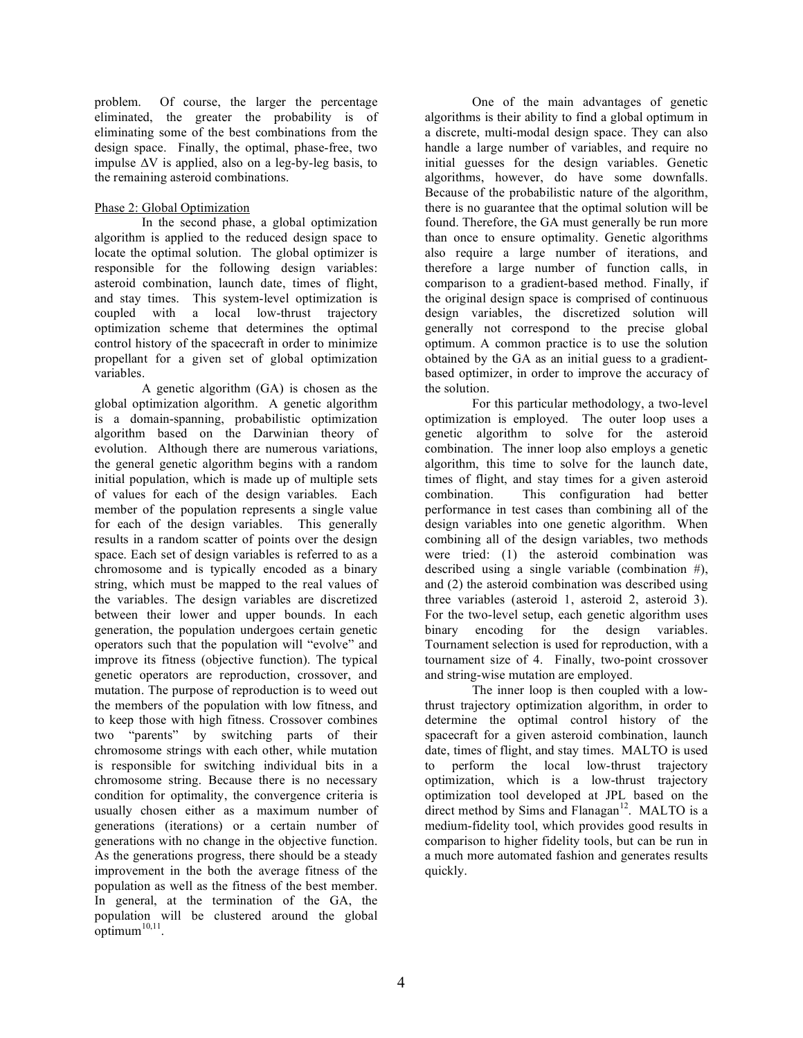problem. Of course, the larger the percentage eliminated, the greater the probability is of eliminating some of the best combinations from the design space. Finally, the optimal, phase-free, two impulse  $\Delta V$  is applied, also on a leg-by-leg basis, to the remaining asteroid combinations.

# Phase 2: Global Optimization

In the second phase, a global optimization algorithm is applied to the reduced design space to locate the optimal solution. The global optimizer is responsible for the following design variables: asteroid combination, launch date, times of flight, and stay times. This system-level optimization is coupled with a local low-thrust trajectory optimization scheme that determines the optimal control history of the spacecraft in order to minimize propellant for a given set of global optimization variables.

A genetic algorithm (GA) is chosen as the global optimization algorithm. A genetic algorithm is a domain-spanning, probabilistic optimization algorithm based on the Darwinian theory of evolution. Although there are numerous variations, the general genetic algorithm begins with a random initial population, which is made up of multiple sets of values for each of the design variables. Each member of the population represents a single value for each of the design variables. This generally results in a random scatter of points over the design space. Each set of design variables is referred to as a chromosome and is typically encoded as a binary string, which must be mapped to the real values of the variables. The design variables are discretized between their lower and upper bounds. In each generation, the population undergoes certain genetic operators such that the population will "evolve" and improve its fitness (objective function). The typical genetic operators are reproduction, crossover, and mutation. The purpose of reproduction is to weed out the members of the population with low fitness, and to keep those with high fitness. Crossover combines two "parents" by switching parts of their chromosome strings with each other, while mutation is responsible for switching individual bits in a chromosome string. Because there is no necessary condition for optimality, the convergence criteria is usually chosen either as a maximum number of generations (iterations) or a certain number of generations with no change in the objective function. As the generations progress, there should be a steady improvement in the both the average fitness of the population as well as the fitness of the best member. In general, at the termination of the GA, the population will be clustered around the global  $optimum$ <sup>10,11</sup>

One of the main advantages of genetic algorithms is their ability to find a global optimum in a discrete, multi-modal design space. They can also handle a large number of variables, and require no initial guesses for the design variables. Genetic algorithms, however, do have some downfalls. Because of the probabilistic nature of the algorithm, there is no guarantee that the optimal solution will be found. Therefore, the GA must generally be run more than once to ensure optimality. Genetic algorithms also require a large number of iterations, and therefore a large number of function calls, in comparison to a gradient-based method. Finally, if the original design space is comprised of continuous design variables, the discretized solution will generally not correspond to the precise global optimum. A common practice is to use the solution obtained by the GA as an initial guess to a gradientbased optimizer, in order to improve the accuracy of the solution.

For this particular methodology, a two-level optimization is employed. The outer loop uses a genetic algorithm to solve for the asteroid combination. The inner loop also employs a genetic algorithm, this time to solve for the launch date, times of flight, and stay times for a given asteroid combination. This configuration had better performance in test cases than combining all of the design variables into one genetic algorithm. When combining all of the design variables, two methods were tried: (1) the asteroid combination was described using a single variable (combination #), and (2) the asteroid combination was described using three variables (asteroid 1, asteroid 2, asteroid 3). For the two-level setup, each genetic algorithm uses binary encoding for the design variables. Tournament selection is used for reproduction, with a tournament size of 4. Finally, two-point crossover and string-wise mutation are employed.

The inner loop is then coupled with a lowthrust trajectory optimization algorithm, in order to determine the optimal control history of the spacecraft for a given asteroid combination, launch date, times of flight, and stay times. MALTO is used to perform the local low-thrust trajectory optimization, which is a low-thrust trajectory optimization tool developed at JPL based on the direct method by Sims and Flanagan<sup>12</sup>. MALTO is a medium-fidelity tool, which provides good results in comparison to higher fidelity tools, but can be run in a much more automated fashion and generates results quickly.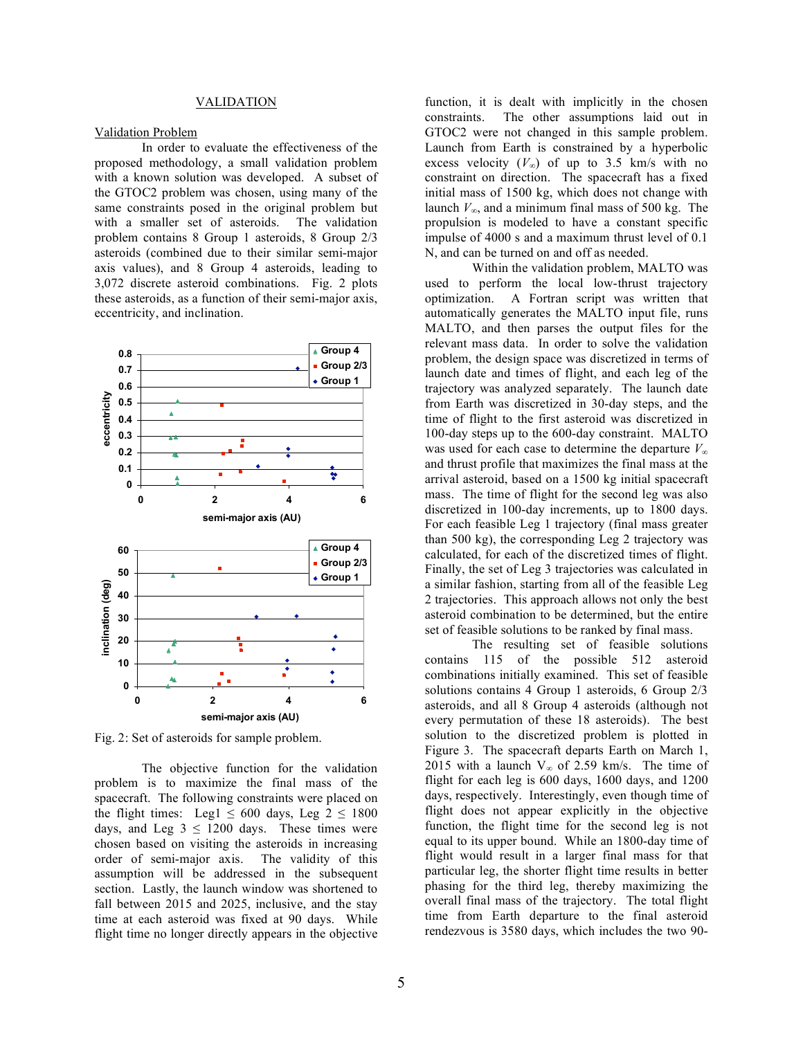### **VALIDATION**

#### Validation Problem

In order to evaluate the effectiveness of the proposed methodology, a small validation problem with a known solution was developed. A subset of the GTOC2 problem was chosen, using many of the same constraints posed in the original problem but with a smaller set of asteroids. The validation problem contains 8 Group 1 asteroids, 8 Group 2/3 asteroids (combined due to their similar semi-major axis values), and 8 Group 4 asteroids, leading to 3,072 discrete asteroid combinations. Fig. 2 plots these asteroids, as a function of their semi-major axis, eccentricity, and inclination.



Fig. 2: Set of asteroids for sample problem.

The objective function for the validation problem is to maximize the final mass of the spacecraft. The following constraints were placed on the flight times: Leg1  $\leq$  600 days, Leg 2  $\leq$  1800 days, and Leg  $3 \le 1200$  days. These times were chosen based on visiting the asteroids in increasing order of semi-major axis. The validity of this assumption will be addressed in the subsequent section. Lastly, the launch window was shortened to fall between 2015 and 2025, inclusive, and the stay time at each asteroid was fixed at 90 days. While flight time no longer directly appears in the objective function, it is dealt with implicitly in the chosen constraints. The other assumptions laid out in GTOC2 were not changed in this sample problem. Launch from Earth is constrained by a hyperbolic excess velocity  $(V_\infty)$  of up to 3.5 km/s with no constraint on direction. The spacecraft has a fixed initial mass of 1500 kg, which does not change with launch  $V_{\infty}$ , and a minimum final mass of 500 kg. The propulsion is modeled to have a constant specific impulse of 4000 s and a maximum thrust level of 0.1 N, and can be turned on and off as needed.

Within the validation problem, MALTO was used to perform the local low-thrust trajectory optimization. A Fortran script was written that automatically generates the MALTO input file, runs MALTO, and then parses the output files for the relevant mass data. In order to solve the validation problem, the design space was discretized in terms of launch date and times of flight, and each leg of the trajectory was analyzed separately. The launch date from Earth was discretized in 30-day steps, and the time of flight to the first asteroid was discretized in 100-day steps up to the 600-day constraint. MALTO was used for each case to determine the departure *V*<sup>∞</sup> and thrust profile that maximizes the final mass at the arrival asteroid, based on a 1500 kg initial spacecraft mass. The time of flight for the second leg was also discretized in 100-day increments, up to 1800 days. For each feasible Leg 1 trajectory (final mass greater than 500 kg), the corresponding Leg 2 trajectory was calculated, for each of the discretized times of flight. Finally, the set of Leg 3 trajectories was calculated in a similar fashion, starting from all of the feasible Leg 2 trajectories. This approach allows not only the best asteroid combination to be determined, but the entire set of feasible solutions to be ranked by final mass.

The resulting set of feasible solutions contains 115 of the possible 512 asteroid combinations initially examined. This set of feasible solutions contains 4 Group 1 asteroids, 6 Group  $2/3$ asteroids, and all 8 Group 4 asteroids (although not every permutation of these 18 asteroids). The best solution to the discretized problem is plotted in Figure 3. The spacecraft departs Earth on March 1, 2015 with a launch  $V_{\infty}$  of 2.59 km/s. The time of flight for each leg is 600 days, 1600 days, and 1200 days, respectively. Interestingly, even though time of flight does not appear explicitly in the objective function, the flight time for the second leg is not equal to its upper bound. While an 1800-day time of flight would result in a larger final mass for that particular leg, the shorter flight time results in better phasing for the third leg, thereby maximizing the overall final mass of the trajectory. The total flight time from Earth departure to the final asteroid rendezvous is 3580 days, which includes the two 90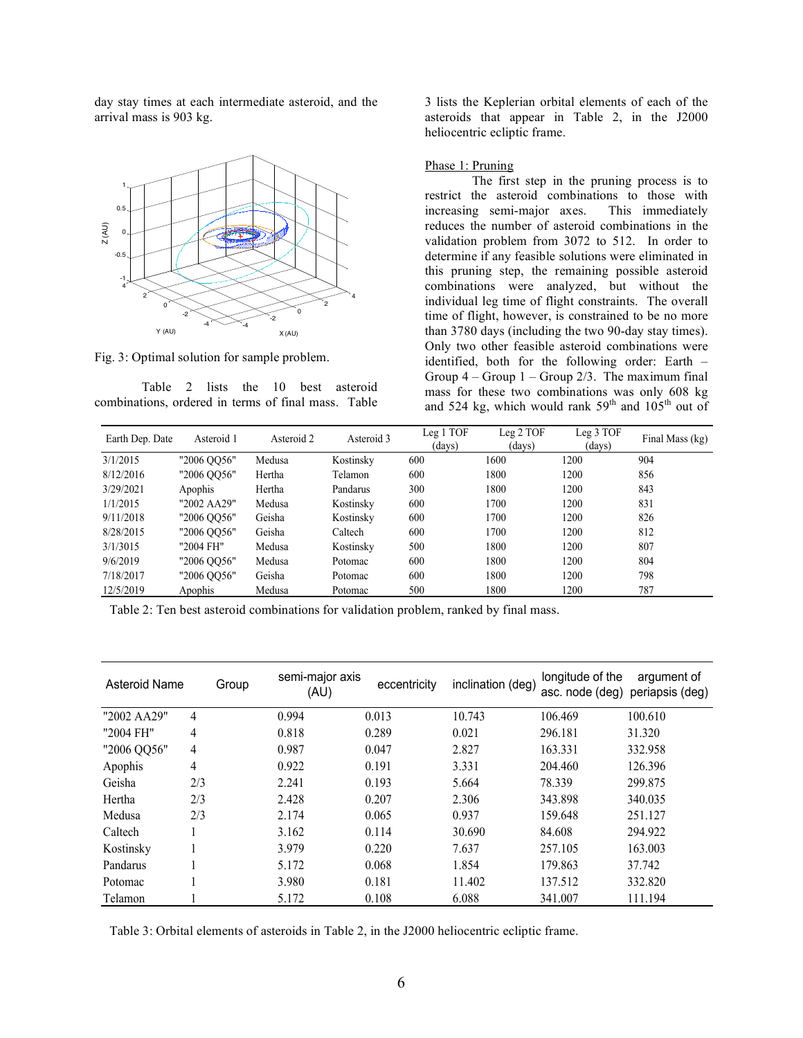day stay times at each intermediate asteroid, and the arrival mass is 903 kg.



Fig. 3: Optimal solution for sample problem.

Table 2 lists the 10 best asteroid combinations, ordered in terms of final mass. Table 3 lists the Keplerian orbital elements of each of the asteroids that appear in Table 2, in the J2000 heliocentric ecliptic frame.

# Phase 1: Pruning

The first step in the pruning process is to restrict the asteroid combinations to those with increasing semi-major axes. This immediately reduces the number of asteroid combinations in the validation problem from 3072 to 512. In order to determine if any feasible solutions were eliminated in this pruning step, the remaining possible asteroid combinations were analyzed, but without the individual leg time of flight constraints. The overall time of flight, however, is constrained to be no more than 3780 days (including the two 90-day stay times). Only two other feasible asteroid combinations were identified, both for the following order: Earth – Group  $4 -$  Group  $1 -$  Group  $2/3$ . The maximum final mass for these two combinations was only 608 kg and 524 kg, which would rank  $59<sup>th</sup>$  and  $105<sup>th</sup>$  out of

| Earth Dep. Date | Asteroid 1  | Asteroid 2 | Asteroid 3 | Leg 1 TOF<br>(days) | Leg 2 TOF<br>(days) | Leg 3 TOF<br>(days) | Final Mass (kg) |
|-----------------|-------------|------------|------------|---------------------|---------------------|---------------------|-----------------|
| 3/1/2015        | "2006 QQ56" | Medusa     | Kostinsky  | 600                 | 1600                | 1200                | 904             |
| 8/12/2016       | "2006 QQ56" | Hertha     | Telamon    | 600                 | 1800                | 1200                | 856             |
| 3/29/2021       | Apophis     | Hertha     | Pandarus   | 300                 | 1800                | 1200                | 843             |
| 1/1/2015        | "2002 AA29" | Medusa     | Kostinsky  | 600                 | 1700                | 1200                | 831             |
| 9/11/2018       | "2006 QQ56" | Geisha     | Kostinsky  | 600                 | 1700                | 1200                | 826             |
| 8/28/2015       | "2006 OO56" | Geisha     | Caltech    | 600                 | 1700                | 1200                | 812             |
| 3/1/3015        | "2004 FH"   | Medusa     | Kostinsky  | 500                 | 1800                | 1200                | 807             |
| 9/6/2019        | "2006 OO56" | Medusa     | Potomac    | 600                 | 1800                | 1200                | 804             |
| 7/18/2017       | "2006 QQ56" | Geisha     | Potomac    | 600                 | 1800                | 1200                | 798             |
| 12/5/2019       | Apophis     | Medusa     | Potomac    | 500                 | 1800                | 1200                | 787             |

Table 2: Ten best asteroid combinations for validation problem, ranked by final mass.

| Asteroid Name | Group | semi-major axis<br>(AU) | eccentricity | inclination (deg) | longitude of the<br>asc. node (deg) | argument of<br>periapsis (deg) |
|---------------|-------|-------------------------|--------------|-------------------|-------------------------------------|--------------------------------|
| "2002 AA29"   | 4     | 0.994                   | 0.013        | 10.743            | 106.469                             | 100.610                        |
| "2004 FH"     | 4     | 0.818                   | 0.289        | 0.021             | 296.181                             | 31.320                         |
| "2006 QQ56"   | 4     | 0.987                   | 0.047        | 2.827             | 163.331                             | 332.958                        |
| Apophis       | 4     | 0.922                   | 0.191        | 3.331             | 204.460                             | 126.396                        |
| Geisha        | 2/3   | 2.241                   | 0.193        | 5.664             | 78.339                              | 299.875                        |
| Hertha        | 2/3   | 2.428                   | 0.207        | 2.306             | 343.898                             | 340.035                        |
| Medusa        | 2/3   | 2.174                   | 0.065        | 0.937             | 159.648                             | 251.127                        |
| Caltech       |       | 3.162                   | 0.114        | 30.690            | 84.608                              | 294.922                        |
| Kostinsky     |       | 3.979                   | 0.220        | 7.637             | 257.105                             | 163.003                        |
| Pandarus      |       | 5.172                   | 0.068        | 1.854             | 179.863                             | 37.742                         |
| Potomac       |       | 3.980                   | 0.181        | 11.402            | 137.512                             | 332.820                        |
| Telamon       |       | 5.172                   | 0.108        | 6.088             | 341.007                             | 111.194                        |

Table 3: Orbital elements of asteroids in Table 2, in the J2000 heliocentric ecliptic frame.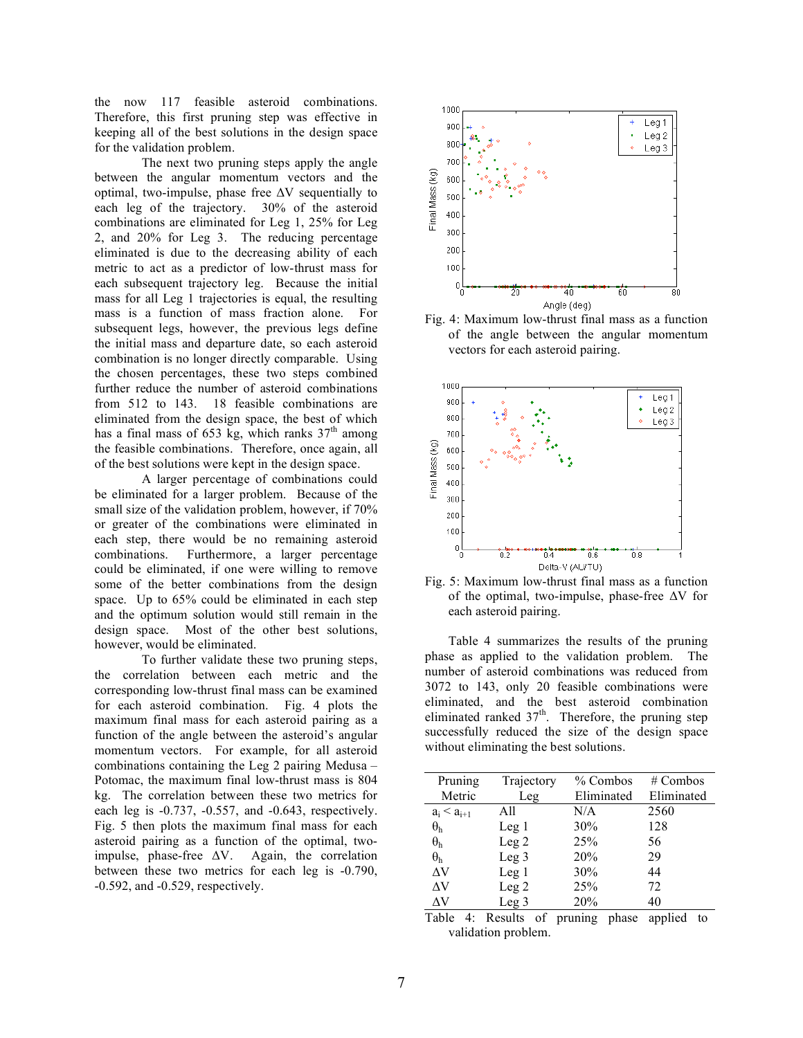the now 117 feasible asteroid combinations. Therefore, this first pruning step was effective in keeping all of the best solutions in the design space for the validation problem.

The next two pruning steps apply the angle between the angular momentum vectors and the optimal, two-impulse, phase free  $\Delta V$  sequentially to each leg of the trajectory. 30% of the asteroid combinations are eliminated for Leg 1, 25% for Leg 2, and 20% for Leg 3. The reducing percentage eliminated is due to the decreasing ability of each metric to act as a predictor of low-thrust mass for each subsequent trajectory leg. Because the initial mass for all Leg 1 trajectories is equal, the resulting mass is a function of mass fraction alone. For subsequent legs, however, the previous legs define the initial mass and departure date, so each asteroid combination is no longer directly comparable. Using the chosen percentages, these two steps combined further reduce the number of asteroid combinations from 512 to 143. 18 feasible combinations are eliminated from the design space, the best of which has a final mass of 653 kg, which ranks  $37<sup>th</sup>$  among the feasible combinations. Therefore, once again, all of the best solutions were kept in the design space.

A larger percentage of combinations could be eliminated for a larger problem. Because of the small size of the validation problem, however, if 70% or greater of the combinations were eliminated in each step, there would be no remaining asteroid combinations. Furthermore, a larger percentage could be eliminated, if one were willing to remove some of the better combinations from the design space. Up to 65% could be eliminated in each step and the optimum solution would still remain in the design space. Most of the other best solutions, however, would be eliminated.

To further validate these two pruning steps, the correlation between each metric and the corresponding low-thrust final mass can be examined for each asteroid combination. Fig. 4 plots the maximum final mass for each asteroid pairing as a function of the angle between the asteroid's angular momentum vectors. For example, for all asteroid combinations containing the Leg 2 pairing Medusa – Potomac, the maximum final low-thrust mass is 804 kg. The correlation between these two metrics for each leg is -0.737, -0.557, and -0.643, respectively. Fig. 5 then plots the maximum final mass for each asteroid pairing as a function of the optimal, twoimpulse, phase-free  $\Delta V$ . Again, the correlation between these two metrics for each leg is -0.790, -0.592, and -0.529, respectively.



Fig. 4: Maximum low-thrust final mass as a function of the angle between the angular momentum vectors for each asteroid pairing.





Table 4 summarizes the results of the pruning phase as applied to the validation problem. The number of asteroid combinations was reduced from 3072 to 143, only 20 feasible combinations were eliminated, and the best asteroid combination eliminated ranked  $37<sup>th</sup>$ . Therefore, the pruning step successfully reduced the size of the design space without eliminating the best solutions.

| Pruning         | Trajectory       | % Combos   | $#$ Combos |
|-----------------|------------------|------------|------------|
| Metric          | Leg              | Eliminated | Eliminated |
| $a_i < a_{i+1}$ | All              | N/A        | 2560       |
| $\theta_h$      | Leg 1            | 30%        | 128        |
| $\theta_h$      | Leg <sub>2</sub> | 25%        | 56         |
| $\theta_h$      | Leg <sub>3</sub> | 20%        | 29         |
| $\Delta V$      | Leg <sub>1</sub> | 30%        | 44         |
| $\Delta V$      | Leg <sub>2</sub> | 25%        | 72         |
| ΔV              | Leg <sub>3</sub> | 20%        | 40         |

Table 4: Results of pruning phase applied to validation problem.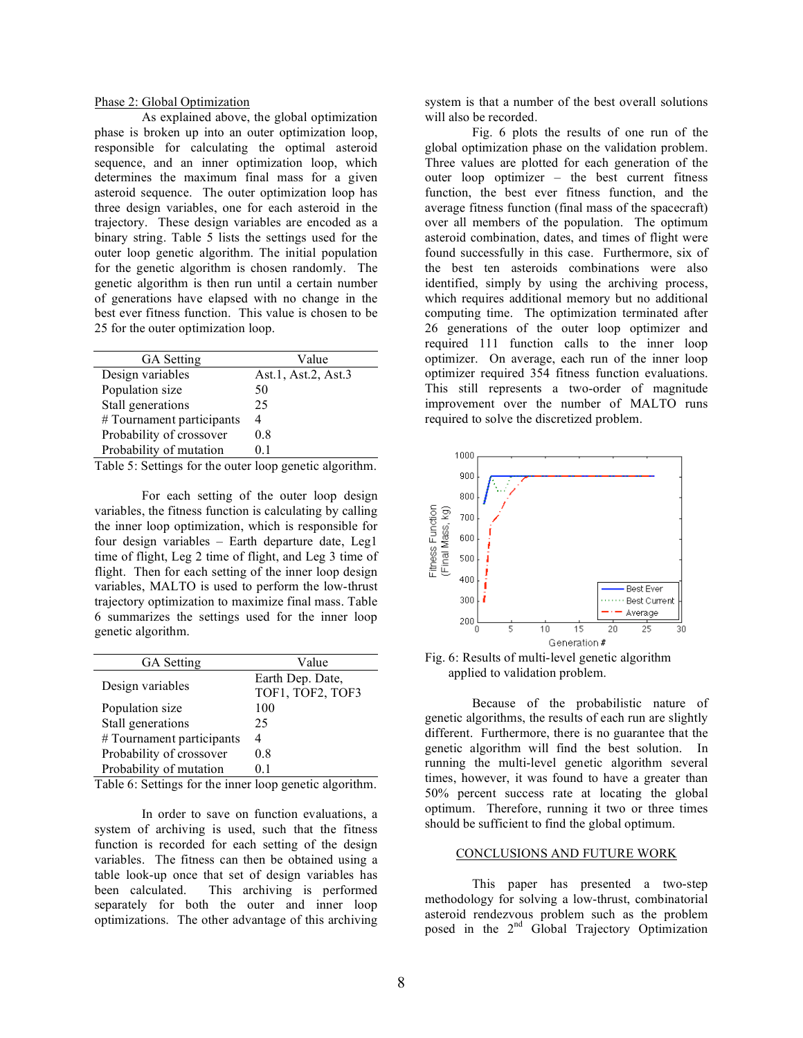### Phase 2: Global Optimization

As explained above, the global optimization phase is broken up into an outer optimization loop, responsible for calculating the optimal asteroid sequence, and an inner optimization loop, which determines the maximum final mass for a given asteroid sequence. The outer optimization loop has three design variables, one for each asteroid in the trajectory. These design variables are encoded as a binary string. Table 5 lists the settings used for the outer loop genetic algorithm. The initial population for the genetic algorithm is chosen randomly. The genetic algorithm is then run until a certain number of generations have elapsed with no change in the best ever fitness function. This value is chosen to be 25 for the outer optimization loop.

| <b>GA</b> Setting         | Value               |
|---------------------------|---------------------|
| Design variables          | Ast.1, Ast.2, Ast.3 |
| Population size           | 50                  |
| Stall generations         | 25                  |
| # Tournament participants |                     |
| Probability of crossover  | 0.8                 |
| Probability of mutation   | 01                  |

Table 5: Settings for the outer loop genetic algorithm.

For each setting of the outer loop design variables, the fitness function is calculating by calling the inner loop optimization, which is responsible for four design variables – Earth departure date, Leg1 time of flight, Leg 2 time of flight, and Leg 3 time of flight. Then for each setting of the inner loop design variables, MALTO is used to perform the low-thrust trajectory optimization to maximize final mass. Table 6 summarizes the settings used for the inner loop genetic algorithm.

| <b>GA</b> Setting         | Value                                |
|---------------------------|--------------------------------------|
| Design variables          | Earth Dep. Date,<br>TOF1, TOF2, TOF3 |
| Population size           | 100                                  |
| Stall generations         | 25                                   |
| # Tournament participants | 4                                    |
| Probability of crossover  | 0.8                                  |
| Probability of mutation   | 01                                   |

Table 6: Settings for the inner loop genetic algorithm.

In order to save on function evaluations, a system of archiving is used, such that the fitness function is recorded for each setting of the design variables. The fitness can then be obtained using a table look-up once that set of design variables has been calculated. This archiving is performed separately for both the outer and inner loop optimizations. The other advantage of this archiving system is that a number of the best overall solutions will also be recorded.

Fig. 6 plots the results of one run of the global optimization phase on the validation problem. Three values are plotted for each generation of the outer loop optimizer – the best current fitness function, the best ever fitness function, and the average fitness function (final mass of the spacecraft) over all members of the population. The optimum asteroid combination, dates, and times of flight were found successfully in this case. Furthermore, six of the best ten asteroids combinations were also identified, simply by using the archiving process, which requires additional memory but no additional computing time. The optimization terminated after 26 generations of the outer loop optimizer and required 111 function calls to the inner loop optimizer. On average, each run of the inner loop optimizer required 354 fitness function evaluations. This still represents a two-order of magnitude improvement over the number of MALTO runs required to solve the discretized problem.



Fig. 6: Results of multi-level genetic algorithm applied to validation problem.

Because of the probabilistic nature of genetic algorithms, the results of each run are slightly different. Furthermore, there is no guarantee that the genetic algorithm will find the best solution. In running the multi-level genetic algorithm several times, however, it was found to have a greater than 50% percent success rate at locating the global optimum. Therefore, running it two or three times should be sufficient to find the global optimum.

## CONCLUSIONS AND FUTURE WORK

This paper has presented a two-step methodology for solving a low-thrust, combinatorial asteroid rendezvous problem such as the problem posed in the  $2<sup>nd</sup>$  Global Trajectory Optimization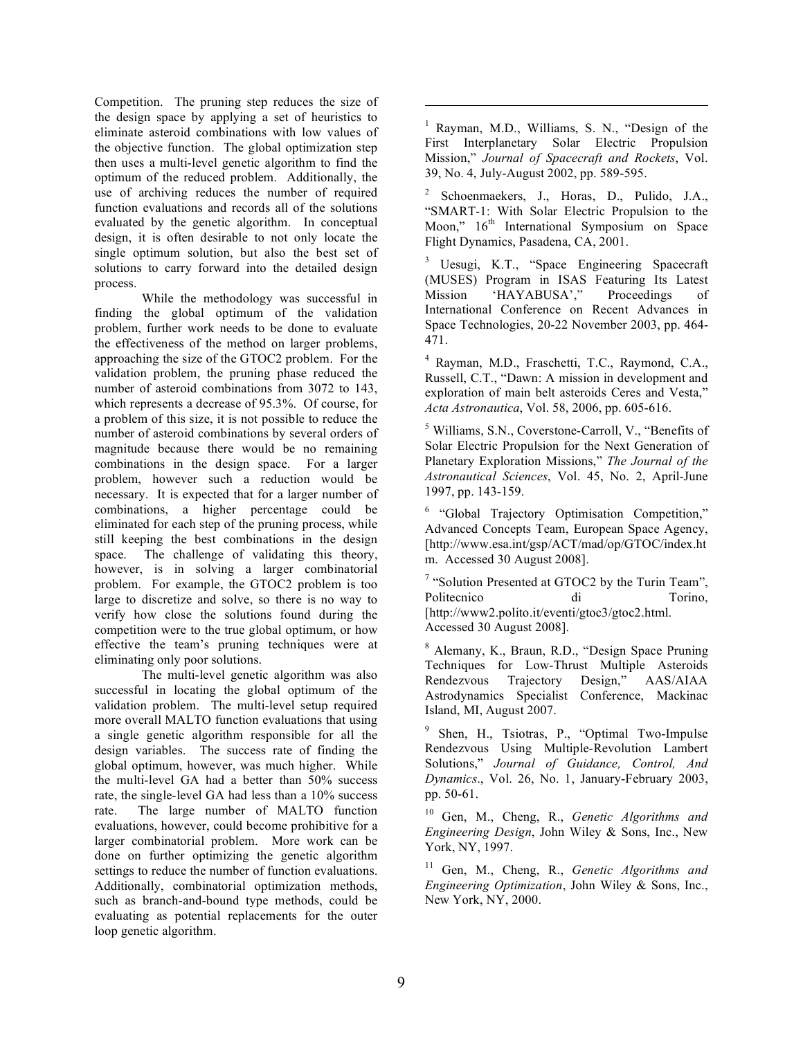Competition. The pruning step reduces the size of the design space by applying a set of heuristics to eliminate asteroid combinations with low values of the objective function. The global optimization step then uses a multi-level genetic algorithm to find the optimum of the reduced problem. Additionally, the use of archiving reduces the number of required function evaluations and records all of the solutions evaluated by the genetic algorithm. In conceptual design, it is often desirable to not only locate the single optimum solution, but also the best set of solutions to carry forward into the detailed design process.

While the methodology was successful in finding the global optimum of the validation problem, further work needs to be done to evaluate the effectiveness of the method on larger problems, approaching the size of the GTOC2 problem. For the validation problem, the pruning phase reduced the number of asteroid combinations from 3072 to 143, which represents a decrease of 95.3%. Of course, for a problem of this size, it is not possible to reduce the number of asteroid combinations by several orders of magnitude because there would be no remaining combinations in the design space. For a larger problem, however such a reduction would be necessary. It is expected that for a larger number of combinations, a higher percentage could be eliminated for each step of the pruning process, while still keeping the best combinations in the design space. The challenge of validating this theory, however, is in solving a larger combinatorial problem. For example, the GTOC2 problem is too large to discretize and solve, so there is no way to verify how close the solutions found during the competition were to the true global optimum, or how effective the team's pruning techniques were at eliminating only poor solutions.

The multi-level genetic algorithm was also successful in locating the global optimum of the validation problem. The multi-level setup required more overall MALTO function evaluations that using a single genetic algorithm responsible for all the design variables. The success rate of finding the global optimum, however, was much higher. While the multi-level GA had a better than 50% success rate, the single-level GA had less than a 10% success rate. The large number of MALTO function evaluations, however, could become prohibitive for a larger combinatorial problem. More work can be done on further optimizing the genetic algorithm settings to reduce the number of function evaluations. Additionally, combinatorial optimization methods, such as branch-and-bound type methods, could be evaluating as potential replacements for the outer loop genetic algorithm.

1 Rayman, M.D., Williams, S. N., "Design of the First Interplanetary Solar Electric Propulsion Mission," *Journal of Spacecraft and Rockets*, Vol. 39, No. 4, July-August 2002, pp. 589-595.

 $\overline{a}$ 

2 Schoenmaekers, J., Horas, D., Pulido, J.A., "SMART-1: With Solar Electric Propulsion to the Moon,"  $16<sup>th</sup>$  International Symposium on Space Flight Dynamics, Pasadena, CA, 2001.

3 Uesugi, K.T., "Space Engineering Spacecraft (MUSES) Program in ISAS Featuring Its Latest Mission 'HAYABUSA'," Proceedings of International Conference on Recent Advances in Space Technologies, 20-22 November 2003, pp. 464- 471.

4 Rayman, M.D., Fraschetti, T.C., Raymond, C.A., Russell, C.T., "Dawn: A mission in development and exploration of main belt asteroids Ceres and Vesta," *Acta Astronautica*, Vol. 58, 2006, pp. 605-616.

<sup>5</sup> Williams, S.N., Coverstone-Carroll, V., "Benefits of Solar Electric Propulsion for the Next Generation of Planetary Exploration Missions," *The Journal of the Astronautical Sciences*, Vol. 45, No. 2, April-June 1997, pp. 143-159.

<sup>6</sup> "Global Trajectory Optimisation Competition," Advanced Concepts Team, European Space Agency, [http://www.esa.int/gsp/ACT/mad/op/GTOC/index.ht m. Accessed 30 August 2008].

 $7$  "Solution Presented at GTOC2 by the Turin Team", Politecnico di Torino, [http://www2.polito.it/eventi/gtoc3/gtoc2.html. Accessed 30 August 2008].

<sup>8</sup> Alemany, K., Braun, R.D., "Design Space Pruning Techniques for Low-Thrust Multiple Asteroids Rendezvous Trajectory Design," AAS/AIAA Astrodynamics Specialist Conference, Mackinac Island, MI, August 2007.

9 Shen, H., Tsiotras, P., "Optimal Two-Impulse Rendezvous Using Multiple-Revolution Lambert Solutions," *Journal of Guidance, Control, And Dynamics*., Vol. 26, No. 1, January-February 2003, pp. 50-61.

10 Gen, M., Cheng, R., *Genetic Algorithms and Engineering Design*, John Wiley & Sons, Inc., New York, NY, 1997.

11 Gen, M., Cheng, R., *Genetic Algorithms and Engineering Optimization*, John Wiley & Sons, Inc., New York, NY, 2000.